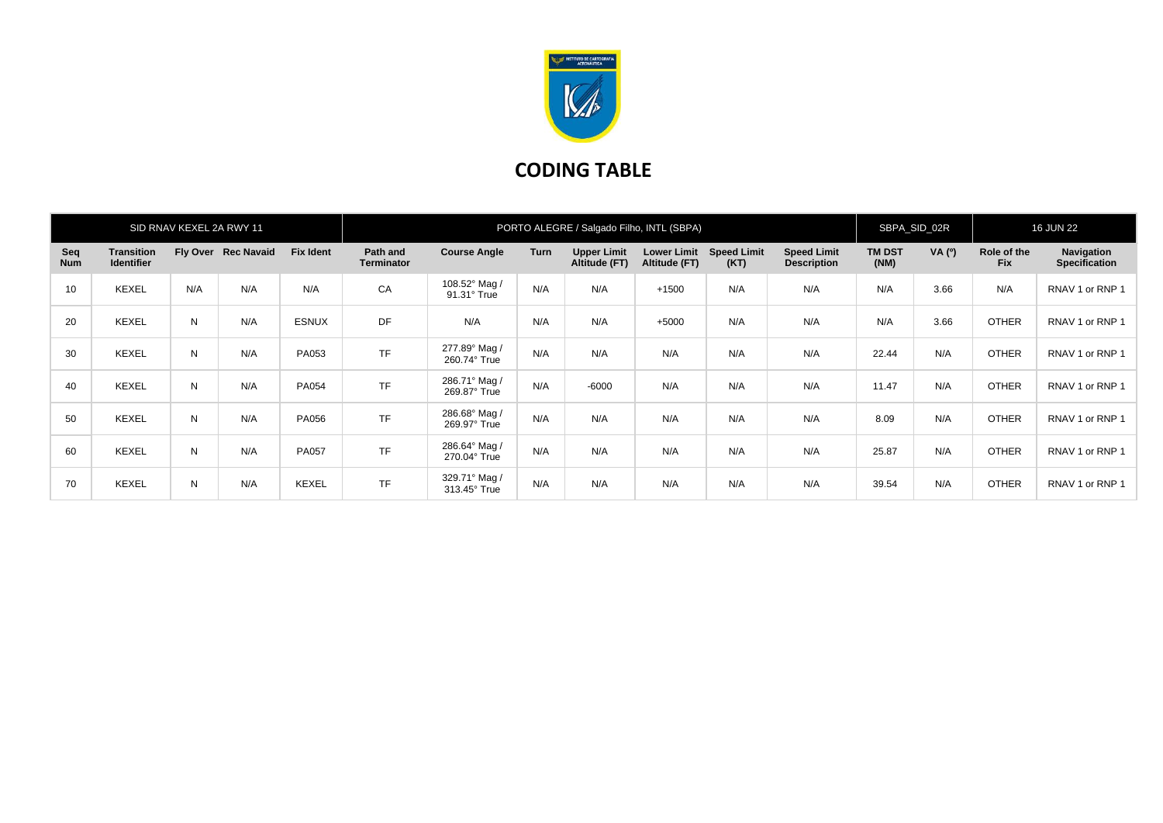

## **CODING TABLE**

| SID RNAV KEXEL 2A RWY 11 |                                        |     |                     |                  | PORTO ALEGRE / Salgado Filho, INTL (SBPA) |                               |      |                                     |                                     |                            | SBPA_SID_02R                             |                       | <b>16 JUN 22</b> |                           |                                    |
|--------------------------|----------------------------------------|-----|---------------------|------------------|-------------------------------------------|-------------------------------|------|-------------------------------------|-------------------------------------|----------------------------|------------------------------------------|-----------------------|------------------|---------------------------|------------------------------------|
| Seq<br><b>Num</b>        | <b>Transition</b><br><b>Identifier</b> |     | Fly Over Rec Navaid | <b>Fix Ident</b> | Path and<br><b>Terminator</b>             | <b>Course Angle</b>           | Turn | <b>Upper Limit</b><br>Altitude (FT) | <b>Lower Limit</b><br>Altitude (FT) | <b>Speed Limit</b><br>(KT) | <b>Speed Limit</b><br><b>Description</b> | <b>TM DST</b><br>(NM) | VA (°)           | Role of the<br><b>Fix</b> | Navigation<br><b>Specification</b> |
| 10                       | <b>KEXEL</b>                           | N/A | N/A                 | N/A              | CA                                        | 108.52° Mag /<br>91.31° True  | N/A  | N/A                                 | $+1500$                             | N/A                        | N/A                                      | N/A                   | 3.66             | N/A                       | RNAV 1 or RNP 1                    |
| 20                       | <b>KEXEL</b>                           | N   | N/A                 | <b>ESNUX</b>     | DF                                        | N/A                           | N/A  | N/A                                 | $+5000$                             | N/A                        | N/A                                      | N/A                   | 3.66             | <b>OTHER</b>              | RNAV 1 or RNP 1                    |
| 30                       | <b>KEXEL</b>                           | N   | N/A                 | PA053            | <b>TF</b>                                 | 277.89° Mag /<br>260.74° True | N/A  | N/A                                 | N/A                                 | N/A                        | N/A                                      | 22.44                 | N/A              | <b>OTHER</b>              | RNAV 1 or RNP 1                    |
| 40                       | <b>KEXEL</b>                           | N   | N/A                 | PA054            | <b>TF</b>                                 | 286.71° Mag /<br>269.87° True | N/A  | $-6000$                             | N/A                                 | N/A                        | N/A                                      | 11.47                 | N/A              | <b>OTHER</b>              | RNAV 1 or RNP 1                    |
| 50                       | <b>KEXEL</b>                           | N   | N/A                 | PA056            | <b>TF</b>                                 | 286.68° Mag /<br>269.97° True | N/A  | N/A                                 | N/A                                 | N/A                        | N/A                                      | 8.09                  | N/A              | <b>OTHER</b>              | RNAV 1 or RNP 1                    |
| 60                       | <b>KEXEL</b>                           | N   | N/A                 | <b>PA057</b>     | <b>TF</b>                                 | 286.64° Mag /<br>270.04° True | N/A  | N/A                                 | N/A                                 | N/A                        | N/A                                      | 25.87                 | N/A              | <b>OTHER</b>              | RNAV 1 or RNP 1                    |
| 70                       | <b>KEXEL</b>                           | N   | N/A                 | <b>KEXEL</b>     | <b>TF</b>                                 | 329.71° Mag /<br>313.45° True | N/A  | N/A                                 | N/A                                 | N/A                        | N/A                                      | 39.54                 | N/A              | <b>OTHER</b>              | RNAV 1 or RNP 1                    |